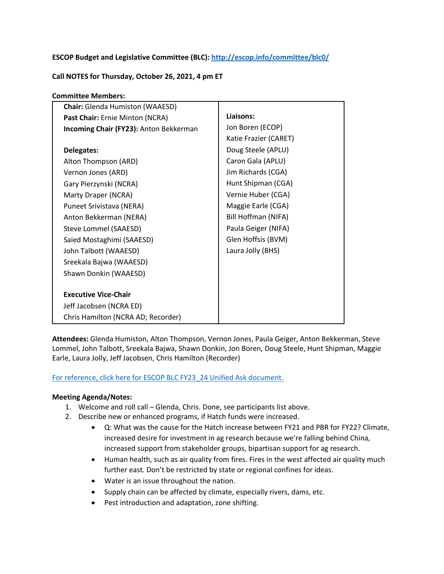# **ESCOP Budget and Legislative Committee (BLC):<http://escop.info/committee/blc0/>**

### **Call NOTES for Thursday, October 26, 2021, 4 pm ET**

| <b>Committee Members:</b>              |                       |  |  |
|----------------------------------------|-----------------------|--|--|
| <b>Chair:</b> Glenda Humiston (WAAESD) |                       |  |  |
| Past Chair: Ernie Minton (NCRA)        | Liaisons:             |  |  |
| Incoming Chair (FY23): Anton Bekkerman | Jon Boren (ECOP)      |  |  |
|                                        | Katie Frazier (CARET) |  |  |
| Delegates:                             | Doug Steele (APLU)    |  |  |
| Alton Thompson (ARD)                   | Caron Gala (APLU)     |  |  |
| Vernon Jones (ARD)                     | Jim Richards (CGA)    |  |  |
| Gary Pierzynski (NCRA)                 | Hunt Shipman (CGA)    |  |  |
| Marty Draper (NCRA)                    | Vernie Huber (CGA)    |  |  |
| Puneet Srivistava (NERA)               | Maggie Earle (CGA)    |  |  |
| Anton Bekkerman (NERA)                 | Bill Hoffman (NIFA)   |  |  |
| Steve Lommel (SAAESD)                  | Paula Geiger (NIFA)   |  |  |
| Saied Mostaghimi (SAAESD)              | Glen Hoffsis (BVM)    |  |  |
| John Talbott (WAAESD)                  | Laura Jolly (BHS)     |  |  |
| Sreekala Bajwa (WAAESD)                |                       |  |  |
| Shawn Donkin (WAAESD)                  |                       |  |  |
|                                        |                       |  |  |
| <b>Executive Vice-Chair</b>            |                       |  |  |
| Jeff Jacobsen (NCRA ED)                |                       |  |  |
| Chris Hamilton (NCRA AD; Recorder)     |                       |  |  |

**Attendees:** Glenda Humiston, Alton Thompson, Vernon Jones, Paula Geiger, Anton Bekkerman, Steve Lommel, John Talbott, Sreekala Bajwa, Shawn Donkin, Jon Boren, Doug Steele, Hunt Shipman, Maggie Earle, Laura Jolly, Jeff Jacobsen, Chris Hamilton (Recorder)

#### [For reference, click here for ESCOP BLC FY23\\_24 Unified Ask document.](#page-2-0)

#### **Meeting Agenda/Notes:**

- 1. Welcome and roll call Glenda, Chris. Done, see participants list above.
- 2. Describe new or enhanced programs, if Hatch funds were increased.
	- Q: What was the cause for the Hatch increase between FY21 and PBR for FY22? Climate, increased desire for investment in ag research because we're falling behind China, increased support from stakeholder groups, bipartisan support for ag research.
	- Human health, such as air quality from fires. Fires in the west affected air quality much further east. Don't be restricted by state or regional confines for ideas.
	- Water is an issue throughout the nation.
	- Supply chain can be affected by climate, especially rivers, dams, etc.
	- Pest introduction and adaptation, zone shifting.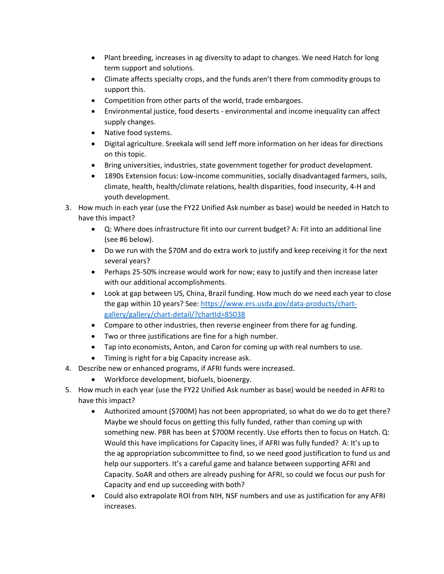- Plant breeding, increases in ag diversity to adapt to changes. We need Hatch for long term support and solutions.
- Climate affects specialty crops, and the funds aren't there from commodity groups to support this.
- Competition from other parts of the world, trade embargoes.
- Environmental justice, food deserts environmental and income inequality can affect supply changes.
- Native food systems.
- Digital agriculture. Sreekala will send Jeff more information on her ideas for directions on this topic.
- Bring universities, industries, state government together for product development.
- 1890s Extension focus: Low-income communities, socially disadvantaged farmers, soils, climate, health, health/climate relations, health disparities, food insecurity, 4-H and youth development.
- 3. How much in each year (use the FY22 Unified Ask number as base) would be needed in Hatch to have this impact?
	- Q: Where does infrastructure fit into our current budget? A: Fit into an additional line (see #6 below).
	- Do we run with the \$70M and do extra work to justify and keep receiving it for the next several years?
	- Perhaps 25-50% increase would work for now; easy to justify and then increase later with our additional accomplishments.
	- Look at gap between US, China, Brazil funding. How much do we need each year to close the gap within 10 years? See: [https://www.ers.usda.gov/data-products/chart](https://www.ers.usda.gov/data-products/chart-gallery/gallery/chart-detail/?chartId=85038)[gallery/gallery/chart-detail/?chartId=85038](https://www.ers.usda.gov/data-products/chart-gallery/gallery/chart-detail/?chartId=85038)
	- Compare to other industries, then reverse engineer from there for ag funding.
	- Two or three justifications are fine for a high number.
	- Tap into economists, Anton, and Caron for coming up with real numbers to use.
	- Timing is right for a big Capacity increase ask.
- 4. Describe new or enhanced programs, if AFRI funds were increased.
	- Workforce development, biofuels, bioenergy.
- 5. How much in each year (use the FY22 Unified Ask number as base) would be needed in AFRI to have this impact?
	- Authorized amount (\$700M) has not been appropriated, so what do we do to get there? Maybe we should focus on getting this fully funded, rather than coming up with something new. PBR has been at \$700M recently. Use efforts then to focus on Hatch. Q: Would this have implications for Capacity lines, if AFRI was fully funded? A: It's up to the ag appropriation subcommittee to find, so we need good justification to fund us and help our supporters. It's a careful game and balance between supporting AFRI and Capacity. SoAR and others are already pushing for AFRI, so could we focus our push for Capacity and end up succeeding with both?
	- Could also extrapolate ROI from NIH, NSF numbers and use as justification for any AFRI increases.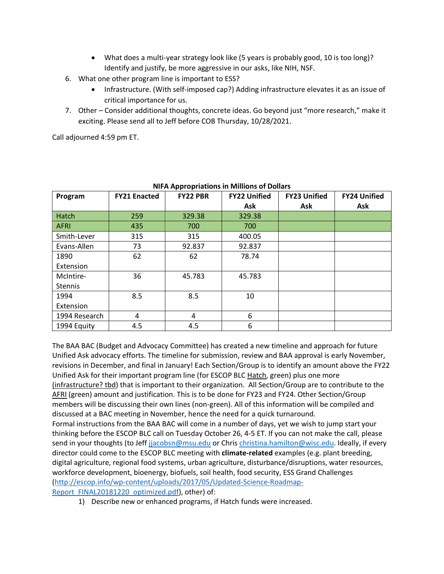- What does a multi-year strategy look like (5 years is probably good, 10 is too long)? Identify and justify, be more aggressive in our asks, like NIH, NSF.
- 6. What one other program line is important to ESS?
	- Infrastructure. (With self-imposed cap?) Adding infrastructure elevates it as an issue of critical importance for us.
- 7. Other Consider additional thoughts, concrete ideas. Go beyond just "more research," make it exciting. Please send all to Jeff before COB Thursday, 10/28/2021.

Call adjourned 4:59 pm ET.

| NIFA Appropriations in Millions of Dollars |                     |                 |                     |                     |                     |  |
|--------------------------------------------|---------------------|-----------------|---------------------|---------------------|---------------------|--|
| Program                                    | <b>FY21 Enacted</b> | <b>FY22 PBR</b> | <b>FY22 Unified</b> | <b>FY23 Unified</b> | <b>FY24 Unified</b> |  |
|                                            |                     |                 | Ask                 | Ask                 | Ask                 |  |
| <b>Hatch</b>                               | 259                 | 329.38          | 329.38              |                     |                     |  |
| <b>AFRI</b>                                | 435                 | 700             | 700                 |                     |                     |  |
| Smith-Lever                                | 315                 | 315             | 400.05              |                     |                     |  |
| Evans-Allen                                | 73                  | 92.837          | 92.837              |                     |                     |  |
| 1890                                       | 62                  | 62              | 78.74               |                     |                     |  |
| Extension                                  |                     |                 |                     |                     |                     |  |
| McIntire-                                  | 36                  | 45.783          | 45.783              |                     |                     |  |
| <b>Stennis</b>                             |                     |                 |                     |                     |                     |  |
| 1994                                       | 8.5                 | 8.5             | 10                  |                     |                     |  |
| Extension                                  |                     |                 |                     |                     |                     |  |
| 1994 Research                              | 4                   | 4               | 6                   |                     |                     |  |
| 1994 Equity                                | 4.5                 | 4.5             | 6                   |                     |                     |  |

# <span id="page-2-0"></span>**NIFA Appropriations in Millions of Dollars**

The BAA BAC (Budget and Advocacy Committee) has created a new timeline and approach for future Unified Ask advocacy efforts. The timeline for submission, review and BAA approval is early November, revisions in December, and final in January! Each Section/Group is to identify an amount above the FY22 Unified Ask for their important program line (for ESCOP BLC Hatch, green) plus one more (infrastructure? tbd) that is important to their organization. All Section/Group are to contribute to the AFRI (green) amount and justification. This is to be done for FY23 and FY24. Other Section/Group members will be discussing their own lines (non-green). All of this information will be compiled and discussed at a BAC meeting in November, hence the need for a quick turnaround. Formal instructions from the BAA BAC will come in a number of days, yet we wish to jump start your thinking before the ESCOP BLC call on Tuesday October 26, 4-5 ET. If you can not make the call, please send in your thoughts (to Jeff [jjacobsn@msu.edu](mailto:jjacobsn@msu.edu) or Chris [christina.hamilton@wisc.edu.](mailto:christina.hamilton@wisc.edu) Ideally, if every director could come to the ESCOP BLC meeting with **climate-related** examples (e.g. plant breeding, digital agriculture, regional food systems, urban agriculture, disturbance/disruptions, water resources, workforce development, bioenergy, biofuels, soil health, food security, ESS Grand Challenges [\(http://escop.info/wp-content/uploads/2017/05/Updated-Science-Roadmap-](http://escop.info/wp-content/uploads/2017/05/Updated-Science-Roadmap-Report_FINAL20181220_optimized.pdf)[Report\\_FINAL20181220\\_optimized.pdf\)](http://escop.info/wp-content/uploads/2017/05/Updated-Science-Roadmap-Report_FINAL20181220_optimized.pdf), other) of:

1) Describe new or enhanced programs, if Hatch funds were increased.